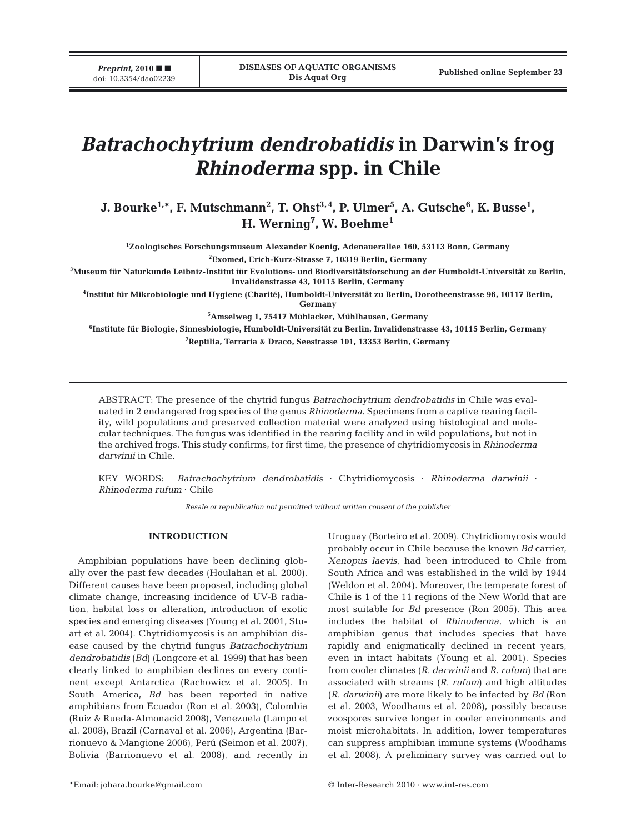# *Batrachochytrium dendrobatidis* **in Darwin's frog** *Rhinoderma* **spp. in Chile**

 ${\bf J. \; Bourke}^{1,\ast}, \, {\bf F. \; Mustchmann}^2, \, {\bf T. \; Ohst}^{3,\,4}, \, {\bf P. \; Ulmer}^5, \, {\bf A. \; Gutsche}^6, \, {\bf K. \; Busse}^1,$ **H. Werning7 , W. Boehme1**

**1 Zoologisches Forschungsmuseum Alexander Koenig, Adenauerallee 160, 53113 Bonn, Germany 2 Exomed, Erich-Kurz-Strasse 7, 10319 Berlin, Germany**

**3 Museum für Naturkunde Leibniz-Institut für Evolutions- und Biodiversitätsforschung an der Humboldt-Universität zu Berlin, Invalidenstrasse 43, 10115 Berlin, Germany**

**4 Institut für Mikrobiologie und Hygiene (Charité), Humboldt-Universität zu Berlin, Dorotheenstrasse 96, 10117 Berlin,**

**Germany**

**5 Amselweg 1, 75417 Mühlacker, Mühlhausen, Germany**

**6 Institute für Biologie, Sinnesbiologie, Humboldt-Universität zu Berlin, Invalidenstrasse 43, 10115 Berlin, Germany 7 Reptilia, Terraria & Draco, Seestrasse 101, 13353 Berlin, Germany**

ABSTRACT: The presence of the chytrid fungus *Batrachochytrium dendrobatidis* in Chile was evaluated in 2 endangered frog species of the genus *Rhinoderma*. Specimens from a captive rearing facility, wild populations and preserved collection material were analyzed using histological and molecular techniques. The fungus was identified in the rearing facility and in wild populations, but not in the archived frogs. This study confirms, for first time, the presence of chytridiomycosis in *Rhinoderma darwinii* in Chile.

KEY WORDS: *Batrachochytrium dendrobatidis* · Chytridiomycosis · *Rhinoderma darwinii* · *Rhinoderma rufum* · Chile

*Resale or republication not permitted without written consent of the publisher*

### **INTRODUCTION**

Amphibian populations have been declining globally over the past few decades (Houlahan et al. 2000). Different causes have been proposed, including global climate change, increasing incidence of UV-B radiation, habitat loss or alteration, introduction of exotic species and emerging diseases (Young et al. 2001, Stuart et al. 2004). Chytridiomycosis is an amphibian disease caused by the chytrid fungus *Batrachochytrium dendrobatidis* (*Bd*) (Longcore et al. 1999) that has been clearly linked to amphibian declines on every continent except Antarctica (Rachowicz et al. 2005). In South America, *Bd* has been reported in native amphibians from Ecuador (Ron et al. 2003), Colombia (Ruiz & Rueda-Almonacid 2008), Venezuela (Lampo et al. 2008), Brazil (Carnaval et al. 2006), Argentina (Barrionuevo & Mangione 2006), Perú (Seimon et al. 2007), Bolivia (Barrionuevo et al. 2008), and recently in

Uruguay (Borteiro et al. 2009). Chytridiomycosis would probably occur in Chile because the known *Bd* carrier, *Xenopus laevis*, had been introduced to Chile from South Africa and was established in the wild by 1944 (Weldon et al. 2004). Moreover, the temperate forest of Chile is 1 of the 11 regions of the New World that are most suitable for *Bd* presence (Ron 2005). This area includes the habitat of *Rhinoderma*, which is an amphibian genus that includes species that have rapidly and enigmatically declined in recent years, even in intact habitats (Young et al. 2001). Species from cooler climates (*R. darwinii* and *R. rufum*) that are associated with streams (*R. rufum*) and high altitudes (*R. darwinii*) are more likely to be infected by *Bd* (Ron et al. 2003, Woodhams et al. 2008), possibly because zoospores survive longer in cooler environments and moist microhabitats. In addition, lower temperatures can suppress amphibian immune systems (Woodhams et al. 2008). A preliminary survey was carried out to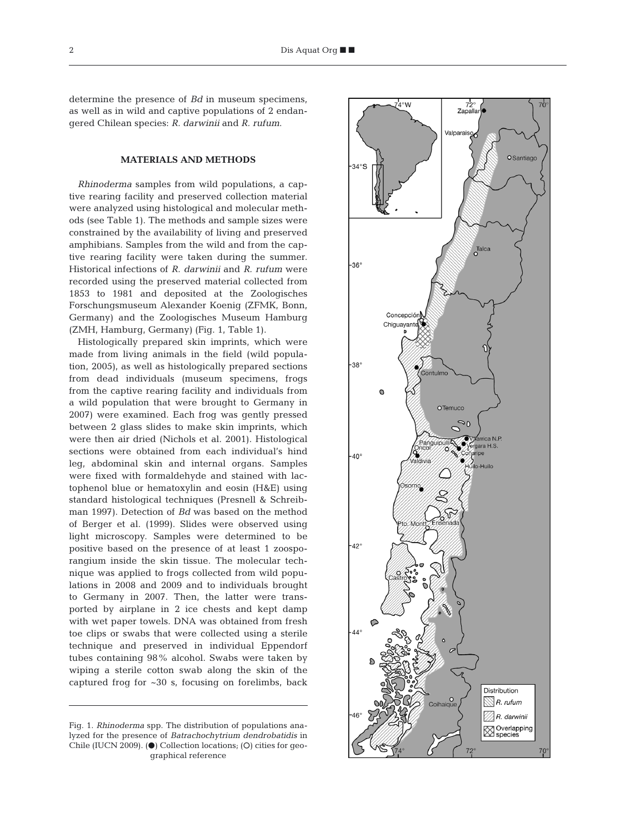determine the presence of *Bd* in museum specimens, as well as in wild and captive populations of 2 endangered Chilean species: *R. darwinii* and *R. rufum*.

# **MATERIALS AND METHODS**

*Rhinoderma* samples from wild populations, a captive rearing facility and preserved collection material were analyzed using histological and molecular methods (see Table 1). The methods and sample sizes were constrained by the availability of living and preserved amphibians. Samples from the wild and from the captive rearing facility were taken during the summer. Historical infections of *R. darwinii* and *R. rufum* were recorded using the preserved material collected from 1853 to 1981 and deposited at the Zoologisches Forschungsmuseum Alexander Koenig (ZFMK, Bonn, Germany) and the Zoologisches Museum Hamburg (ZMH, Hamburg, Germany) (Fig. 1, Table 1).

Histologically prepared skin imprints, which were made from living animals in the field (wild population, 2005), as well as histologically prepared sections from dead individuals (museum specimens, frogs from the captive rearing facility and individuals from a wild population that were brought to Germany in 2007) were examined. Each frog was gently pressed between 2 glass slides to make skin imprints, which were then air dried (Nichols et al. 2001). Histological sections were obtained from each individual's hind leg, abdominal skin and internal organs. Samples were fixed with formaldehyde and stained with lactophenol blue or hematoxylin and eosin (H&E) using standard histological techniques (Presnell & Schreibman 1997). Detection of *Bd* was based on the method of Berger et al. (1999). Slides were observed using light microscopy. Samples were determined to be positive based on the presence of at least 1 zoosporangium inside the skin tissue. The molecular technique was applied to frogs collected from wild populations in 2008 and 2009 and to individuals brought to Germany in 2007. Then, the latter were transported by airplane in 2 ice chests and kept damp with wet paper towels. DNA was obtained from fresh toe clips or swabs that were collected using a sterile technique and preserved in individual Eppendorf tubes containing 98% alcohol. Swabs were taken by wiping a sterile cotton swab along the skin of the captured frog for  $\sim 30$  s, focusing on forelimbs, back

Fig. 1. *Rhinoderma* spp. The distribution of populations analyzed for the presence of *Batrachochytrium dendrobatidis* in Chile (IUCN 2009).  $\Theta$  Collection locations; (O) cities for geographical reference

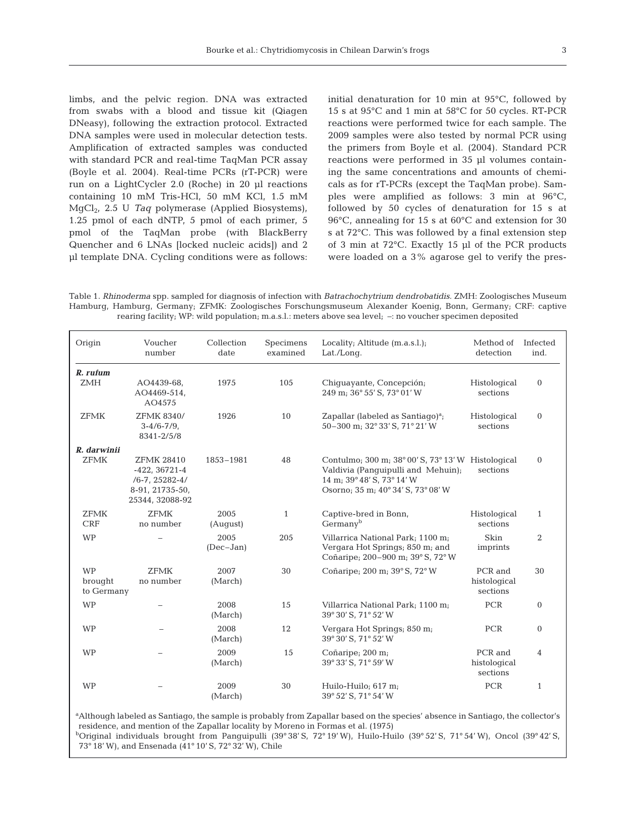limbs, and the pelvic region. DNA was extracted from swabs with a blood and tissue kit (Qiagen DNeasy), following the extraction protocol. Extracted DNA samples were used in molecular detection tests. Amplification of extracted samples was conducted with standard PCR and real-time TaqMan PCR assay (Boyle et al. 2004). Real-time PCRs (rT-PCR) were run on a LightCycler 2.0 (Roche) in 20 µl reactions containing 10 mM Tris-HCl, 50 mM KCl, 1.5 mM MgCl2, 2.5 U *Taq* polymerase (Applied Biosystems), 1.25 pmol of each dNTP, 5 pmol of each primer, 5 pmol of the TaqMan probe (with BlackBerry Quencher and 6 LNAs [locked nucleic acids]) and 2 µl template DNA. Cycling conditions were as follows:

initial denaturation for 10 min at 95°C, followed by 15 s at 95°C and 1 min at 58°C for 50 cycles. RT-PCR reactions were performed twice for each sample. The 2009 samples were also tested by normal PCR using the primers from Boyle et al. (2004). Standard PCR reactions were performed in 35 µl volumes containing the same concentrations and amounts of chemicals as for rT-PCRs (except the TaqMan probe). Samples were amplified as follows: 3 min at 96°C, followed by 50 cycles of denaturation for 15 s at 96°C, annealing for 15 s at 60°C and extension for 30 s at 72°C. This was followed by a final extension step of 3 min at 72°C. Exactly 15 µl of the PCR products were loaded on a 3% agarose gel to verify the pres-

Table 1. *Rhinoderma* spp. sampled for diagnosis of infection with *Batrachochytrium dendrobatidis.* ZMH: Zoologisches Museum Hamburg, Hamburg, Germany; ZFMK: Zoologisches Forschungsmuseum Alexander Koenig, Bonn, Germany; CRF: captive rearing facility; WP: wild population; m.a.s.l.: meters above sea level; –: no voucher specimen deposited

| Origin                             | Voucher<br>number                                                                                  | Collection<br>date  | Specimens<br>examined | Locality; Altitude (m.a.s.l.);<br>Lat./Long.                                                                                                                 | Method of<br>detection              | Infected<br>ind. |
|------------------------------------|----------------------------------------------------------------------------------------------------|---------------------|-----------------------|--------------------------------------------------------------------------------------------------------------------------------------------------------------|-------------------------------------|------------------|
| $R.$ rufum<br><b>ZMH</b>           | AO4439-68,<br>AO4469-514,<br>AO4575                                                                | 1975                | 105                   | Chiquayante, Concepción;<br>249 m; 36° 55' S, 73° 01' W                                                                                                      | Histological<br>sections            | $\mathbf{0}$     |
| <b>ZFMK</b>                        | ZFMK 8340/<br>$3-4/6-7/9$ ,<br>8341-2/5/8                                                          | 1926                | 10                    | Zapallar (labeled as Santiago) <sup>a</sup> ;<br>50-300 m; 32° 33' S, 71° 21' W                                                                              | Histological<br>sections            | $\mathbf{0}$     |
| R. darwinii<br><b>ZFMK</b>         | <b>ZFMK 28410</b><br>$-422, 36721-4$<br>$/6 - 7, 25282 - 4/$<br>8-91, 21735-50,<br>25344, 32088-92 | 1853-1981           | 48                    | Contulmo; 300 m; 38° 00' S, 73° 13' W Histological<br>Valdivia (Panquipulli and Mehuin);<br>14 m; 39° 48' S, 73° 14' W<br>Osorno; 35 m; 40° 34' S, 73° 08' W | sections                            | $\mathbf{0}$     |
| <b>ZFMK</b><br><b>CRF</b>          | <b>ZFMK</b><br>no number                                                                           | 2005<br>(August)    | $\mathbf{1}$          | Captive-bred in Bonn,<br>Germanv <sup>b</sup>                                                                                                                | Histological<br>sections            | $\mathbf{1}$     |
| <b>WP</b>                          |                                                                                                    | 2005<br>$(Dec-Jan)$ | 205                   | Villarrica National Park; 1100 m;<br>Vergara Hot Springs; 850 m; and<br>Coñaripe; 200-900 m; 39° S, 72° W                                                    | <b>Skin</b><br>imprints             | 2                |
| <b>WP</b><br>brought<br>to Germany | <b>ZFMK</b><br>no number                                                                           | 2007<br>(March)     | 30                    | Coñaripe; 200 m; 39° S, 72° W                                                                                                                                | PCR and<br>histological<br>sections | 30               |
| WP                                 |                                                                                                    | 2008<br>(March)     | 15                    | Villarrica National Park; 1100 m;<br>39° 30' S, 71° 52' W                                                                                                    | PCR                                 | $\mathbf{0}$     |
| <b>WP</b>                          |                                                                                                    | 2008<br>(March)     | 12                    | Vergara Hot Springs; 850 m;<br>39° 30' S, 71° 52' W                                                                                                          | <b>PCR</b>                          | $\mathbf{0}$     |
| <b>WP</b>                          |                                                                                                    | 2009<br>(March)     | 15                    | Coñaripe; 200 m;<br>39° 33' S, 71° 59' W                                                                                                                     | PCR and<br>histological<br>sections | 4                |
| <b>WP</b>                          |                                                                                                    | 2009<br>(March)     | 30                    | Huilo-Huilo; 617 m;<br>39° 52' S, 71° 54' W                                                                                                                  | <b>PCR</b>                          | $\mathbf{1}$     |

a Although labeled as Santiago, the sample is probably from Zapallar based on the species' absence in Santiago, the collector's residence, and mention of the Zapallar locality by Moreno in Formas et al. (1975)

bOriginal individuals brought from Panguipulli (39° 38' S, 72° 19' W), Huilo-Huilo (39° 52' S, 71° 54' W), Oncol (39° 42' S, 73° 18' W), and Ensenada (41° 10' S, 72° 32' W), Chile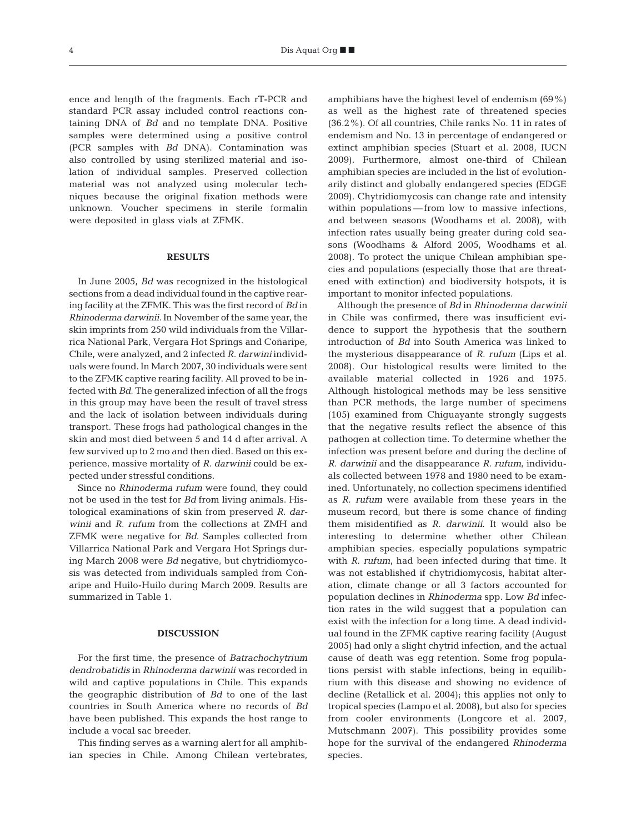ence and length of the fragments. Each rT-PCR and standard PCR assay included control reactions containing DNA of *Bd* and no template DNA. Positive samples were determined using a positive control (PCR samples with *Bd* DNA). Contamination was also controlled by using sterilized material and isolation of individual samples. Preserved collection material was not analyzed using molecular techniques because the original fixation methods were unknown. Voucher specimens in sterile formalin were deposited in glass vials at ZFMK.

# **RESULTS**

In June 2005, *Bd* was recognized in the histological sections from a dead individual found in the captive rearing facility at the ZFMK. This was the first record of *Bd* in *Rhinoderma darwinii*. In November of the same year, the skin imprints from 250 wild individuals from the Villarrica National Park, Vergara Hot Springs and Coñaripe, Chile, were analyzed, and 2 infected *R. darwini* individuals were found. In March 2007, 30 individuals were sent to the ZFMK captive rearing facility. All proved to be infected with *Bd*. The generalized infection of all the frogs in this group may have been the result of travel stress and the lack of isolation between individuals during transport. These frogs had pathological changes in the skin and most died between 5 and 14 d after arrival. A few survived up to 2 mo and then died. Based on this experience, massive mortality of *R. darwinii* could be expected under stressful conditions.

Since no *Rhinoderma rufum* were found, they could not be used in the test for *Bd* from living animals. Histological examinations of skin from preserved *R. darwinii* and *R. rufum* from the collections at ZMH and ZFMK were negative for *Bd*. Samples collected from Villarrica National Park and Vergara Hot Springs during March 2008 were *Bd* negative, but chytridiomycosis was detected from individuals sampled from Coñaripe and Huilo-Huilo during March 2009. Results are summarized in Table 1.

#### **DISCUSSION**

For the first time, the presence of *Batrachochytrium dendrobatidis* in *Rhinoderma darwinii* was recorded in wild and captive populations in Chile. This expands the geographic distribution of *Bd* to one of the last countries in South America where no records of *Bd* have been published. This expands the host range to include a vocal sac breeder.

This finding serves as a warning alert for all amphibian species in Chile. Among Chilean vertebrates, amphibians have the highest level of endemism (69%) as well as the highest rate of threatened species (36.2%). Of all countries, Chile ranks No. 11 in rates of endemism and No. 13 in percentage of endangered or extinct amphibian species (Stuart et al. 2008, IUCN 2009). Furthermore, almost one-third of Chilean amphibian species are included in the list of evolutionarily distinct and globally endangered species (EDGE 2009). Chytridiomycosis can change rate and intensity within populations — from low to massive infections, and between seasons (Woodhams et al. 2008), with infection rates usually being greater during cold seasons (Woodhams & Alford 2005, Woodhams et al. 2008). To protect the unique Chilean amphibian species and populations (especially those that are threatened with extinction) and biodiversity hotspots, it is important to monitor infected populations.

Although the presence of *Bd* in *Rhinoderma darwinii* in Chile was confirmed, there was insufficient evidence to support the hypothesis that the southern introduction of *Bd* into South America was linked to the mysterious disappearance of *R. rufum* (Lips et al. 2008). Our histological results were limited to the available material collected in 1926 and 1975. Although histological methods may be less sensitive than PCR methods, the large number of specimens (105) examined from Chiguayante strongly suggests that the negative results reflect the absence of this pathogen at collection time. To determine whether the infection was present before and during the decline of *R. darwinii* and the disappearance *R. rufum*, individuals collected between 1978 and 1980 need to be examined. Unfortunately, no collection specimens identified as *R. rufum* were available from these years in the museum record, but there is some chance of finding them misidentified as *R. darwinii*. It would also be interesting to determine whether other Chilean amphibian species, especially populations sympatric with *R. rufum*, had been infected during that time. It was not established if chytridiomycosis, habitat alteration, climate change or all 3 factors accounted for population declines in *Rhinoderma* spp. Low *Bd* infection rates in the wild suggest that a population can exist with the infection for a long time. A dead individual found in the ZFMK captive rearing facility (August 2005) had only a slight chytrid infection, and the actual cause of death was egg retention. Some frog populations persist with stable infections, being in equilibrium with this disease and showing no evidence of decline (Retallick et al. 2004); this applies not only to tropical species (Lampo et al. 2008), but also for species from cooler environments (Longcore et al. 2007, Mutschmann 2007). This possibility provides some hope for the survival of the endangered *Rhinoderma* species.